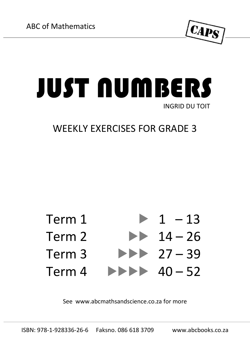

## JUST NUMBERS INGRID DU TOIT

## WEEKLY EXERCISES FOR GRADE 3



See [www.abcmathsandscience.co.za](http://www.abcmathsandscience.co.za/) for more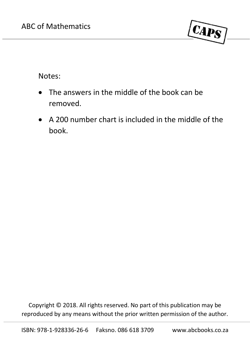

Notes:

- The answers in the middle of the book can be removed.
- A 200 number chart is included in the middle of the book.

Copyright © 2018. All rights reserved. No part of this publication may be reproduced by any means without the prior written permission of the author.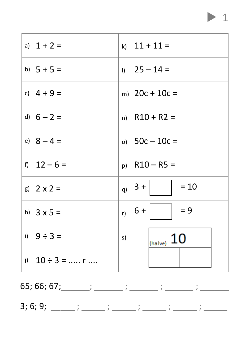## $\mathbf 1$

| a) $1 + 2 =$                     | k) $11 + 11 =$               |
|----------------------------------|------------------------------|
| b) $5 + 5 =$                     | $1)$ 25 – 14 =               |
| c) $4 + 9 =$                     | m) $20c + 10c =$             |
| d) $6 - 2 =$                     | n) $R10 + R2 =$              |
| e) $8 - 4 =$                     | o) $50c - 10c =$             |
| f) $12 - 6 =$                    | $p)$ R10 – R5 =              |
| g) $2 \times 2 =$                | q) $3 +$<br>$= 10$           |
| h) $3 \times 5 =$                | $r_0$ 6 +  <br>$\vert$ = 9   |
| i) $9 \div 3 =$                  | $_{\text{(halve)}} 10$<br>s) |
| i) $10 \div 3 = \dots$ r $\dots$ |                              |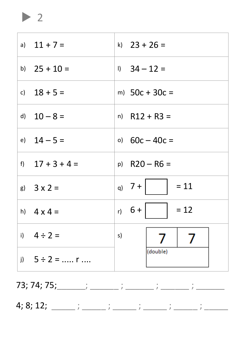a)  $11 + 7 =$ k)  $23 + 26 =$ b)  $25 + 10 =$  $1)$  34 - 12 = c)  $18 + 5 =$ m)  $50c + 30c =$ d)  $10 - 8 =$  $n)$  R12 + R3 = e)  $14 - 5 =$ o)  $60c - 40c =$ f)  $17 + 3 + 4 =$  $p)$  R20 - R6 = q)  $7 +$  $= 11$ g)  $3 \times 2 =$ r)  $6 +$  $= 12$ h)  $4 \times 4 =$ i)  $4 \div 2 =$ s) 7 7 (double) i)  $5 \div 2 =$  ..... r ....

 $\blacktriangleright$  2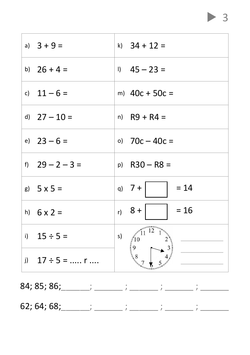| a) $3 + 9 =$       |    | k) $34 + 12 =$                           |
|--------------------|----|------------------------------------------|
| b) $26 + 4 =$      |    | $1)$ 45 - 23 =                           |
| c) $11 - 6 =$      |    | m) $40c + 50c =$                         |
| d) $27 - 10 =$     |    | $n)$ R9 + R4 =                           |
| e) $23 - 6 =$      |    | o) $70c - 40c =$                         |
| f) $29 - 2 - 3 =$  |    | $p)$ R30 - R8 =                          |
| g) $5 \times 5 =$  |    | q) $7 +$<br>$= 14$                       |
| h) $6 \times 2 =$  |    | $r) 8 +$<br>$= 16$                       |
| i) $15 \div 5 =$   | s) | $\sqrt{11^{11}}$<br>$\overrightarrow{2}$ |
| i) $17 \div 5 =$ r |    | $\begin{pmatrix} 9 \\ 8 \end{pmatrix}$   |

84; 85; 86; \_\_\_\_\_\_; \_\_\_\_\_\_; 62; 64; 68; \_\_\_\_\_\_\_; \_\_\_\_\_\_\_  $\ddot{\cdot}$  $\ddot{\phantom{a}}$ 

 $\overline{3}$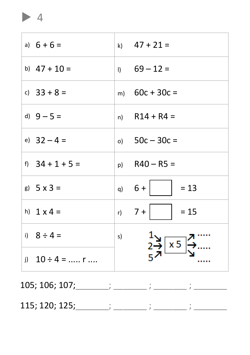a)  $6 + 6 =$ k)  $47 + 21 =$ b)  $47 + 10 =$  $69 - 12 =$  $\mathbf{D}$ c)  $33 + 8 =$ m)  $60c + 30c =$ d)  $9 - 5 =$  $R14 + R4 =$  $n)$ e)  $32 - 4 =$ o)  $50c - 30c =$ f)  $34 + 1 + 5 =$  $R40 - R5 =$ p)  $6 +$ g)  $5 \times 3 =$  $= 13$  $q)$  $7 +$  $= 15$ h)  $1 \times 4 =$  $r$ ) i)  $8 \div 4 =$  $s)$  $\overline{\overline{\mathsf{x}}\,5}$ i)  $10 \div 4 =$  ..... r ....

 $\blacktriangleright$  4

 $105; 106; 107;$  ; ; ; ;

 $115; 120; 125;$   $;$   $;$   $;$   $;$   $;$